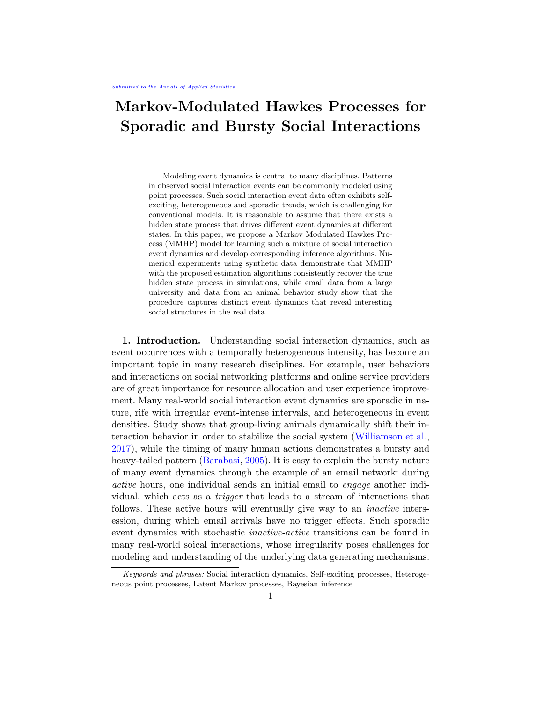# Markov-Modulated Hawkes Processes for Sporadic and Bursty Social Interactions

Modeling event dynamics is central to many disciplines. Patterns in observed social interaction events can be commonly modeled using point processes. Such social interaction event data often exhibits selfexciting, heterogeneous and sporadic trends, which is challenging for conventional models. It is reasonable to assume that there exists a hidden state process that drives different event dynamics at different states. In this paper, we propose a Markov Modulated Hawkes Process (MMHP) model for learning such a mixture of social interaction event dynamics and develop corresponding inference algorithms. Numerical experiments using synthetic data demonstrate that MMHP with the proposed estimation algorithms consistently recover the true hidden state process in simulations, while email data from a large university and data from an animal behavior study show that the procedure captures distinct event dynamics that reveal interesting social structures in the real data.

1. Introduction. Understanding social interaction dynamics, such as event occurrences with a temporally heterogeneous intensity, has become an important topic in many research disciplines. For example, user behaviors and interactions on social networking platforms and online service providers are of great importance for resource allocation and user experience improvement. Many real-world social interaction event dynamics are sporadic in nature, rife with irregular event-intense intervals, and heterogeneous in event densities. Study shows that group-living animals dynamically shift their interaction behavior in order to stabilize the social system [\(Williamson et al.,](#page-22-0) [2017\)](#page-22-0), while the timing of many human actions demonstrates a bursty and heavy-tailed pattern (Barabasi, 2005). It is easy to explain the bursty nature of many event dynamics through the example of an email network: during active hours, one individual sends an initial email to engage another individual, which acts as a trigger that leads to a stream of interactions that follows. These active hours will eventually give way to an *inactive* intersession, during which email arrivals have no trigger effects. Such sporadic event dynamics with stochastic inactive-active transitions can be found in many real-world soical interactions, whose irregularity poses challenges for modeling and understanding of the underlying data generating mechanisms.

Keywords and phrases: Social interaction dynamics, Self-exciting processes, Heterogeneous point processes, Latent Markov processes, Bayesian inference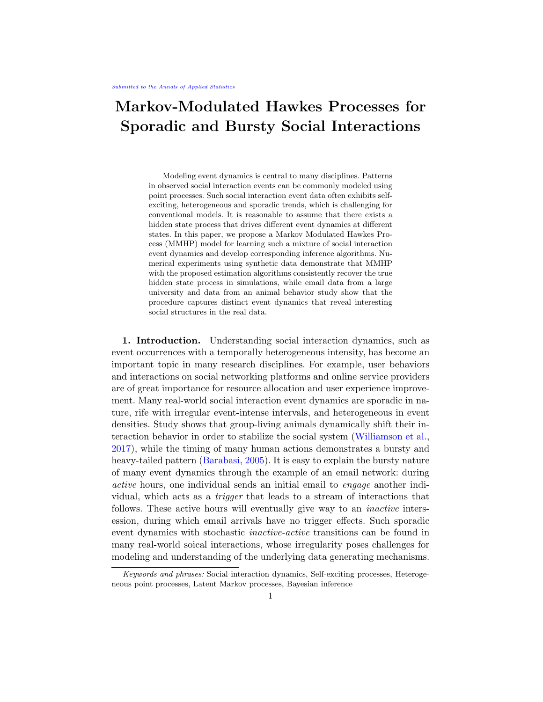One example of dynamics of this form is the times of emails between users in a large university, as first collected and analysed by Kossinets and Watts (2006). Figure [1](#page-1-0) illustrates emails from one user to another in this network over one academic semester (122 days). The data shows distinct periods of activity, such as at the start and end of this time period, along with periods with less frequent interactions.

Common practices in modeling social interaction event dynamics are generally grouped into two categories. The first type computes aggregated counts of events that are captured in fixed-length time intervals, and then applies time series models for count data (e.g., Blei and Lafferty 2006). The second type directly models continuous-time event occurrences via conditional intensity functions (e.g., [Weiss et al.](#page-22-1) [2012\)](#page-22-1). The first approach requires unnecessary aggregation of the data, which inevitably leads to information loss. In most cases, the time series models make assumptions about the true data generating process that are hard to validate. Another common challenge with the first approach is choosing the "right" length of time intervals that strikes a balance between count sparsity and information loss, as demonstrated further in Supplement [S1.1.](#page-23-0) This can be especially challenging when arrivals are both sporadic and bursty. The continuous-time approach is a more direct modeling of event dynamics. In recent literature, efforts along

<span id="page-1-0"></span>

Fig 1: Observed social interactions consisting of emails sent between a pair of users in a large university, as described in Kossinets and Watts (2006). (a) describes event arrival times over one semester, with a kernel density estimate for a small bandwidth overlaid, while (b) shows the distribution of interevent waiting times. At certain times events arrive at a very high density. The kernel density (red line) is added to help illustrate these events.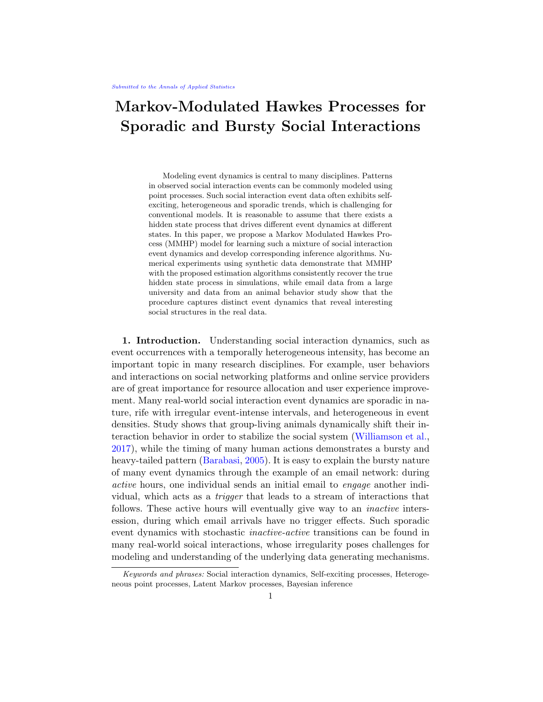this line often treat the observed event arrival times as (heterogeneous) point processes and model their intensity functions with incorporated excitatory triggers (Simma and Jordan, 2010; [Zhao et al.,](#page-22-2) [2015\)](#page-22-2), event history (Perry and Wolfe, 2013), and/or latent Markov processes (Scott and Smyth, 2003).

Poisson processes are the most widely used models for social interaction event arrival times. These models assume a constant event intensity over time and independent event arrivals. For a Poisson process with rate , the waiting time between events follows an exponential distribution with mean 1=. However, in practice, the timing of events often follows non-Poisson patterns (Barabasi, 2005). Figure [1-](#page-1-0)(b) displays the distribution of interevent waiting times for the social interactions between a pair of email users shown in Figure [1-](#page-1-0)(a). There are departures from an exponential distribution, with the rate being the maximum likelihood estimate. Most notable are departures at the two ends of the distribution that correspond to bursty arrivals and a heavy-tail in waiting times, which have been noted in the literature (Barabasi, 2005).

The Hawkes process (Hawkes, 1971), a self-exciting process, has been proposed as an alternative to address non-Poisson bursts in event dynamics. In a Hawkes process, at the arrival of an event, the event occurrence intensity is elevated. This boost in event rate is sustained for a short period of time that follows. Hawkes processes have been shown to capture bursty patterns in human activities reasonably well (Linderman and Adams, 2014; [Wang](#page-22-3) [et al.,](#page-22-3) [2016\)](#page-22-3), but are inadequate to address the existence of extended 'silent period' and isolated events. Under a Hawkes process, once an event has occurred, it will always induce an incentive for future events to occur in a short period of time immediately following the "triggering" event. However, in reality, long intervals of inactivity or low activity rate between bursts of events are ubiquitous. A more flexible model is needed to address the heavy-tailed distribution of interevent waiting times.

One model that addresses such heterogeneity in interevent waiting times is the Markov Modulated Poisson Process (MMPP) (Fischer and Meier-Hellstern, 1993), which is a doubly stochastic Poisson process with its arrival rate modulated by an underlying Markov process. It assumes that the rate of event arrivals depends on a latent state variable. Conditioning on a given latent state, the arrival of events follows a homogeneous Poisson process. We fit MMPP to data on interactions from the same pair of directed emails in Figure [1,](#page-1-0) see Figure 2-(a). The inferred latent MMPP state (blue line) fails to capture the different event dynamics patterns. In other words, the observed sporadic event dynamics cannot be explained simply by different rates of incidents. Rather, they suggest different levels of temporal dependence.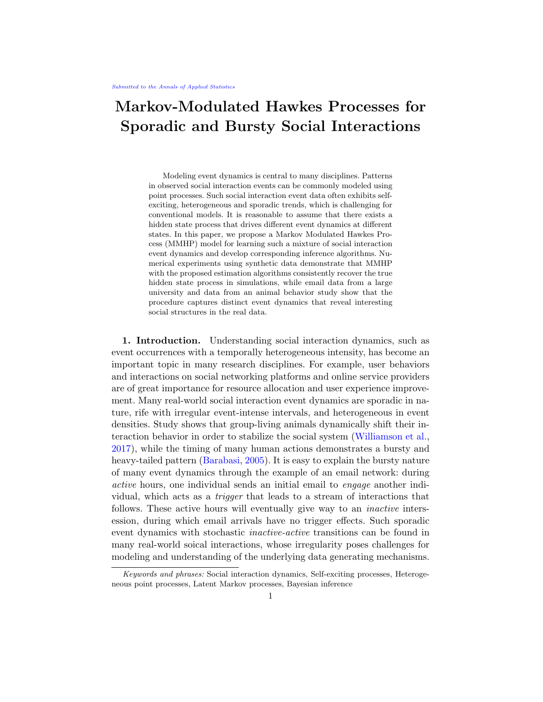Fig 2: Conventional models applied to the same set of interaction times from a pair of email users as in Figure [1](#page-1-0).(a) Interactions with inferred latent states (black crosses) by Markov Modulated Poisson Process (MMPP) (Fischer and Meier-Hellstern, 1993) with latent trajectory (blue line) and one-standard-error band (blue shade) bounded to be between  $0$  and  $(b)$ . The estimated latent state using Markov Modulated Hawkes Process with stepwise decay (MMHPSD) [\(Wang et al.](#page-22-4), 2012). Overlaid is a KDE with small bandwidth (red line). Both MMPP and MMHPSD failed to detect segments of di erent types of social interactions, as further demonstrated in Supplement S1.2.

In this paper, we address the modeling of sporadic interevent waiting times, commonly found in real-world social interaction event dynamics. Combining Markov modulation and the Hawkes process, we propose a Markov Modulated Hawkes Process (MMHP) model and develop corresponding inference algorithms. As shown in Figure 2, the interevent time density from real data includes both short \bursty periods" and extented \silent periods" with isolated events. Our model, on one hand, will address the limitation of the Hawkes process in capturing \silent periods" and isolated events. On the other hand, it will extend the exibility of the MMPP to allow \bursty periods".

Wang et al. (2012) considered a related strategy, where a Hawkes process with step-wise decay was introduced into the MMPP framework (MMH-PSD) to model variation in seismicity during earthquake sequences. From a modeling perspective, MMHPSD assumes that each event occurrence creates a constant in
uence on the intensity function that accumulates with that of other events. This in
uence is reduced to a lower constant by each event that occurs afterwards. This assumption is not 
exible enough to describe certain social event arrivals as it ignores time-decaying e ects of previous events as time elapses. The estimation of MMHPSD was implemented using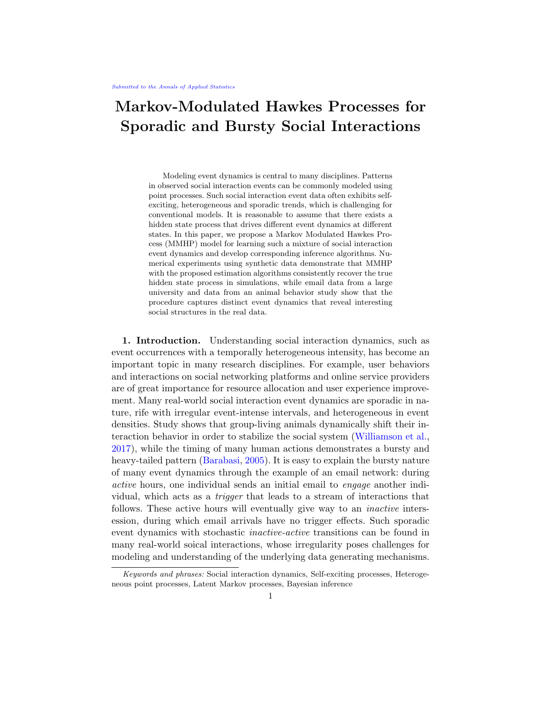the EM algorithm (Dempster et al., 1977), where the M-step computation highly relies on the piece-wise constant assumption. It is therefore di cult to generalize this procedure to the more widely-used exponential kernel for Hawkes processes. The blue line in Figure 2-(b) shows the tted latent state using the MMHPSD model, where we can see that the latent process is `activated' by nearly every event occurrence, classifying several events in the active state. When there is no event, the state immediately drops to state 0. This is the drawback in using a piece-wise constant intensity function that renders the inference dependent only on local patterns (event versus no events). It fails to detect a stable global latent process that represents a mixture of event dynamics.

Our proposed model considers the Hawkes process with exponential decay, the original more general de nition of the Hawkes process. This allows us to e ciently and explicitly model the extent of in uence that past events have on the arrival intensity of future events. We derive a novel inference algorithm to solve the computational challenge, providing a close mean-eld variational approximation (Blei et al., 2017) of the original likelihood. This novel approximation allows the model inference to be carried out using techniques from the forward-backward algorithm (Rabiner, 1989) and the Viterbi algorithm (Rabiner, 1989), which can be easily generalized to estimate other related models, e.g., MMPP and MMHP with stepwise decay or other kernel functions. This inference procedure can be incorporated into posterior inference under a Bayesian framework that allows us to quantify uncertainty in the model estimates, especially for the latent state process. We evaluate the performance of MMHP using experiments on synthetic data, real email data from Kossinets and Watts (2006) and mice interaction data from Williamson et al. (2016). MMHP is shown to have excellent model estimation and reliable recovery of the latent states (active versusinactive) for synthetic event dynamics with ground truth. MMHP is also better able to capture the dynamics underlying email interactions than previous models. When applied to interaction dynamics among cohorts of male mice, MMHP identies two types of ghting activity states with di erent social structures.

2. Markov Modulated Hawkes Processes. We rst introduce the proposed MMHP model for sporadic event dynamics given observed event arrival times. We start with the notation that is necessary for our discussion. Then, we lay down the background on point processes in general with a focus on the Hawkes process. Finally, we introduce the proposed MMHP, a latent variable model with Hawkes process modulated by a Markov process.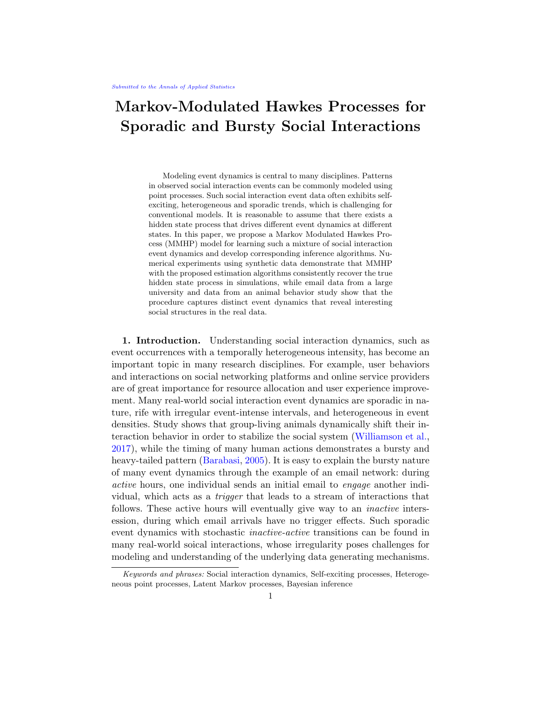Notation for event arrival time data. We consider event arrival time data that consists of all event history up to a nal-observation time  $T: H(T) =$ f t<sub>m</sub> g<sub>M=0</sub>, where t<sub>0</sub> = 0, t<sub>M</sub> = T, and M is the total number of events. The sequence of interevent waiting times is denoted by  $\quad$  t<sub>m</sub> := t<sub>m</sub> t<sub>m 1</sub>g<sub>m=1</sub>, which is equivalent to the event time H(T).

Background on point process models. An equivalent representation of a point process H(T) = ft<sub>m</sub>g $_{m=0}^{M}$  is via a counting process Let N(t) be a right-continuous point process that records the number of events observed during the interval [0 ; t]. The conditional intensity function given the history up to time  $t$ ,  $H(t)$ , is

$$
(tjH(t)) = \lim_{t \to 0} \frac{Pr(N(t + t) - N(t)) = 1jH(t))}{t}.
$$

The likelihood function for a sequence of events up to time  $H(T) = ft_1 <$  $:::$  < t  $_{M}$  g, is then

(2.1) 
$$
\begin{array}{c}\n\mathbf{M} & n & Z_T & 0 \\
(mjH(t_m)) \exp \begin{array}{cc}\n\mathbf{M} & \mathbf{I} & \mathbf{I} \\
0 & \mathbf{I} & \mathbf{I}\n\end{array}\n\end{array}
$$

The Hawkes process Hawkes, 1971) is a self-exciting process that can explain bursty patterns in event dynamics. For a univariate model with the widely used exponential kernel<sup>1</sup>, the intensity function is de ned as

(2.2) 
$$
Z_{t} = \begin{cases} 1 + \frac{Z_{t}}{2} e^{(t-s)} dN_{s} = 1 + \frac{X}{t_{m} \times t} e^{(t-t_{m})}; \end{cases}
$$

where  $1 > 0$  speci es the baseline intensity,  $> 0$  calibrates the instantaneous boost to the event intensity at each arrival of an event, and  $> 0$ controls the decay of past events' in
uence over time. Hawkes processes have successfully been used to model dynamics in elds such as nance (Hawkes, 2018) and Neuroscience (Linderman and Adams, 2014).

Modulation by a latent Markov process. In Fischer and Meier-Hellstern  $(1993)$ , the original Poisson process was extended to be nodulated by a latent continuous-time Markov chain (CTMC), primarily to address the commonly non-Poisson pattern where the event dynamics alternate between long waiting times and intervals of more intensive events. More speci cally, this

 $10$ ther kernel functions such as a powerlaw kernel have also been used in applications in seismology and nance.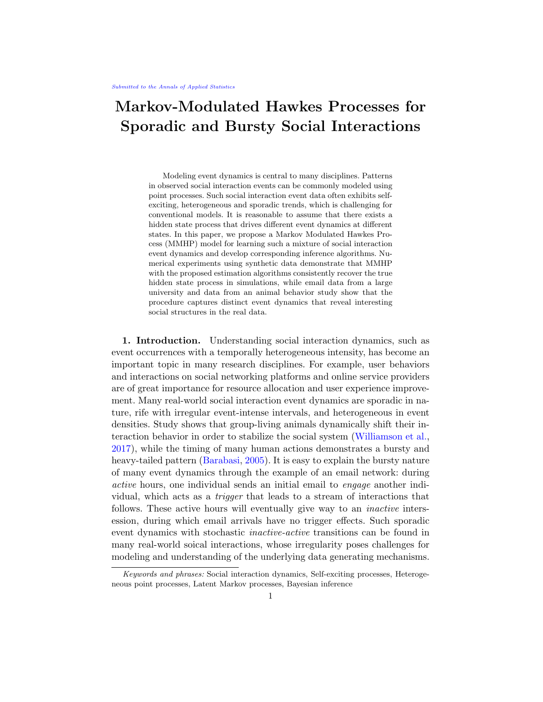Markov Modulated Poisson Process (MMPP) model is a doubly stochastic Poisson process whose arrival rate is given by<sub>Z(t)</sub>.  $Z(t)$  is an irreducible Markov process with R-states that is independent of the arrival process. When the Markov process $Z(t)$  is in state r (r 2 f 1; :::; Rg), arrivals occur according to a Poisson process of rate<sub>r</sub>. In this paper, we will consider a two-state  $Z(t)$  that takes values 0 or 1. All the following discussion can be generalized to anR-state Z(t).

MMPP assumes a constant event intensity conditioning on the latent state Z(t). For sporadic event dynamics with bursts, isolated incidents and long waiting times, we propose to use Hawkes process to model a self-exciting  $1(t)$  instead of using a constant rate  $1$ , when the underlying Markov process is in the active state  $\mathbb{Z}(t) = 1$ . This Hawkes process  $_1(t)$  considers the whole event history up to current time t, i.e.,  $H(t)$ . When  $Z(t) = 0$ , the point process follows homogeneous Poisson process with rate. Modulating the intensity function using a latent two-state Markov process  $Z(t)$  allows us to extract segments with heterogeneous event dynamic $\mathbf{z}(t)$  is described by an initial probability vector  $:= (1 \ 0, 0)$ , and an in nitesimal generator matrix Q, where

$$
Q = \begin{array}{cc} q_{1;1} & q_{1;0} \\ q_{0;1} & q_{0;0} \end{array} = \begin{array}{cc} q_1 & q_1 \\ q_0 & q_0 \end{array}:
$$

For eacht 0, there is a probability transition matrix, denoted as  $P(t)$  := [P<sub>ij</sub> (t)]<sub>i;j 2f <sub>0;1g</sub>. Each entry P<sub>ij</sub> (t) is de ned as the probability that the chain</sub> will be in state j at time  $u + t$  (t > 0) given the chain is in state i at time u, i.e. for eachu 0,

$$
P_{ij}(t) = P(Z(u + t) = j)Z(u) = i)
$$
:

The likelihood of the full trajectory of the hidden state  $f Z(t)$ ;  $t \overline{T} g :=$  $Z(T)$  can be written in terms of the following su cient statistics: initial state  $Z(0)$ , the number of jumps K and the successive transition time points f  $u_1$ ; ...;  $u_K$  g, given parameters, q<sub>1</sub> and q<sub>0</sub>. Further, denote  $s_k$  as the state of Z(t) during  $[u_{k-1}; u_k)$ , and  $u_k = u_{k-1}$ , as shown in Figure 3. Then the likelihood function is written as

$$
P\left(Z\left(T\right)j\ ;Q\ \right)=\ \ _{0}^{l\ f\ Z\ (0)=0\ g} (1\ \ _{0})^{l\ f\ Z\ (0)=1\ g}[\begin{matrix} \ \ \mathsf{Y} \\ \ \ \mathsf{q}_{k} \ e^{-q_{k_{k}}} \end{matrix}\ u_{k}\ \frac{\mathsf{q}_{k_{k}};s_{k+1}}{\mathsf{q}_{k_{k}}} ]e^{-q_{k_{k+1}}}\ u_{K+1}\ :\\
$$

Let  $\,$  denote the entire set of parameters, i.e., f  $\,$ <sub>0</sub>;  $\,$ <sub>1</sub>; ; ; ; q  $\,$ <sub>1</sub>;  $q$ <sub>0</sub>g. The complete-data likelihood for, under MMHP, is then

(2.3) 
$$
P(H(T); Z(T)j) = P(Z(T)j) \quad P(H(T)j ; Z(T));
$$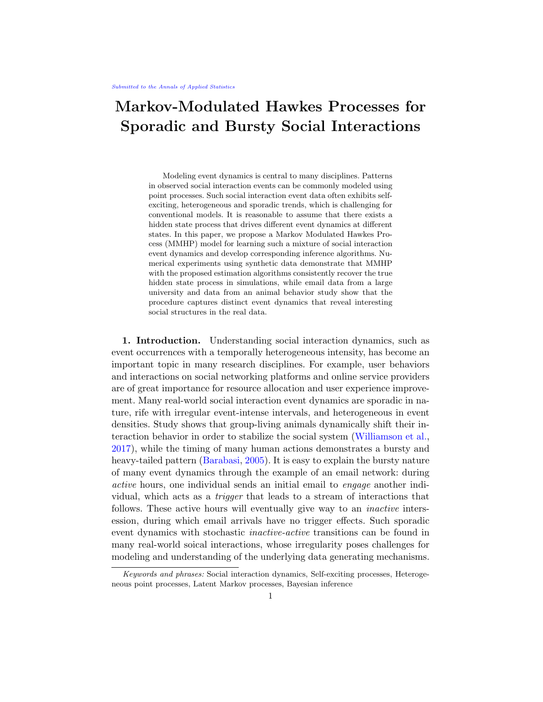Fig 3: An illustration of the MMHP model.

where  $P(Z(T))$  ) is for the latent Markov process, which is not dependent on the observation  $H(T)$ .  $P(H(T)$  ;  $Z(T)$  is for observed event data conditioning on the latent process. More speci cally,

(2.4)  
\n
$$
P(H(T)) = \begin{cases} \n\text{M} & Z_T \\ \n\text{Z}_{(t_m)}(t_m)H(t_m)) \exp f & Z_{(u)}(u)H(u) \text{d}ug: \\ \n\text{M} & 0 \n\end{cases}
$$

3. Bayesian inference of MMHP.

3.1. Inference of model parameters. In this paper, we adopt a Bayesian framework for the inference of MMHP. We are interested in the posterior distribution of parameter set, given a proposed prior distribution (  $\left( \ \right)$ and observedH(T). It can be written that,

(3.1) 
$$
P(\,jH(T)) / \,l) P(H(T)j) = \,l) \sum_{Z(T)}^{X} P(H(T); Z(T)j) :
$$

For better computational stability and convergence, in (3.1), we integrate out the full latent state trajectory. However, the exact marginalization is computationally infeasible over the entire set of possible full trajectories of continuous-time Markov chains (CTMC),  $S = fZ(T)g$ . In practice, we are more interested in the latent state at the time of each event (and also the initial state), i.e.  $\mathbb{Z}(T) := fZ_0; Z_1; Z_2; ...; Z_M$  g. In order to nd an e cient approximation of  $(3.1)$ , we divide the computation into subsets of S with [

$$
S = \sum_{Z(T)} S_{Z(T)}; \ S_{Z(T)} := fZ(T)jZ(t_m) = Z_m; Z_m \ 2 \ Z(T); m = 1; \dots; M \ g.
$$

Here  $S_{Z(T)}$  is the set of CTMC trajectories that result in  $Z(T)$ . Given each possible combination of observed event state $\vec{x}(T)$ , the entire set S can be decomposed into the union of  $\mathcal{D}^{+1}$  such  $S_{\mathcal{Z}(\mathsf{T})}$  realizations.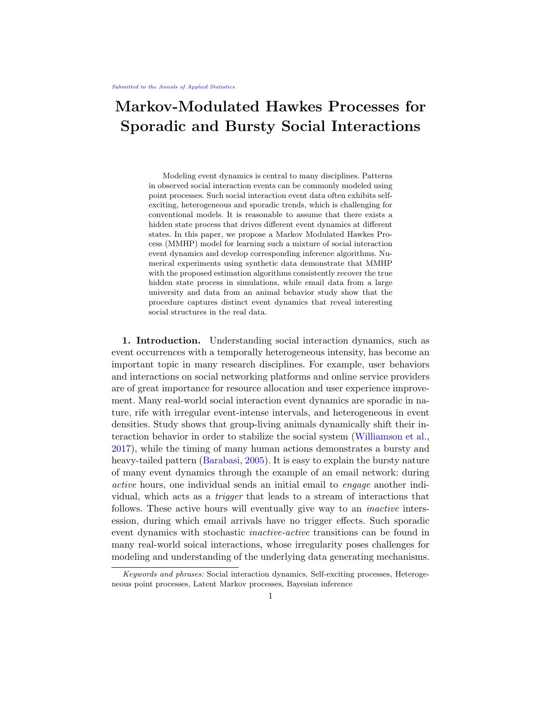The summation in  $(3.1)$  over a CTMC family of in nite dimension is then divided into  $2^{M+1}$  parts.

(3.2) 
$$
X
$$
 P(H(T); Z(T)j) =  $X$  X P(H(T); Z(T)j) :  
z(T)  $Z(T)$ 

For each term in the outer summation of  $(3.2)$ , a variational approximation solution is proposed in section 3.2 (Cohn et al., 2009). Based on these approximated likelihood summands, we construct an inference procedure for the whole marginalization in  $(3.1)$ , utilizing components of the forward-backward algorithm (Rabiner, 1989). This allows us to implement an MCMC sampling algorithm and derive the posterior distribution of. The latent Markov process trajectory is then estimated by the Viterbi algorithm (Rabiner, 1989) and interpolated by maximizing the likelihood of  $Z(T)$ , as outlined in section 3.3. Empirical results (not shown) indicate that this inference procedure, obtaining both the posterior distribution - and the latent process trajectory, scales linearly in the number of events observed.

3.2. Likelihood approximation. Working with each summand in (3.2), X  $Z(T)2S_{Z(T)}$  $P(H(T); Z(T)j) =$ X  $Z(T)2S_{Z(T)}$  $P(Z(T)j)$   $P(H(T)j ; Z(T))$ (3.3)  $= P(Z(T))$   $E_{Zj Z}[P(H(T))$  ; Z(T))]:

The calculation of  $P(Z(T))$ ). This is the likelihood of the Markov process embedding at event times, which can be calculated as

$$
(3.4) \qquad P(Z(T)j) = \int_{0}^{1fZ_0=0} g(1 \quad 0)^{1fZ_0=1} g \bigg|_{m=1}^{M} P_{Z_{m-1};Z_m}(-t_m);
$$

Following Kolmogorov's forward equation

$$
\frac{dP_{ij}(t)}{dt} = \begin{matrix} X & 0 & 1 \\ 0 & Q_{ki} & Q_{ik}(t) & 0 \end{matrix} \quad \text{and} \quad \begin{matrix} Q & 0 & 1 \\ 0 & Q_{ki} & Q_{ik}(t) \\ 0 & 0 & 0 \end{matrix}.
$$

we can readily calculate the matrix  $P(t) = exp(Qt)$ . When there are two states, it has an explicit form as follows,

$$
P(t) = \begin{array}{cc} P_{11}(t) & P_{10}(t) \\ P_{01}(t) & P_{00}(t) \end{array} = \frac{1}{q_0 + q_1} \begin{array}{cc} q_0 + q_1 e^{-(q_0 + q_1)t} & q_1 & q_1 e^{-(q_0 + q_1)t} \\ q_0 & q_0 e^{-(q_0 + q_1)t} & q_1 + q_0 e^{-(q_0 + q_1)t} \end{array} :
$$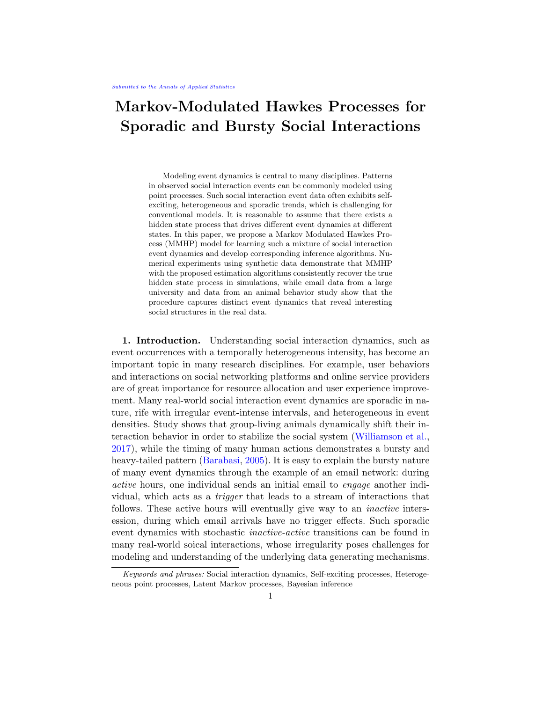Variational approximation of  $E_{Z|Z}[P(H(T))$ ;  $Z(T)$ ]. We need to approximate the marginalization of all possible trajectories of  $Z(T)$  given a  $Z(T)$ . More specically, we approximate the expectation in the following equation,

(3.5)

$$
E_{ZjZ}[P(H(T)j ; Z(T))] = \begin{cases} \mathbb{M} & Z_T \\ z_m(t_m j H(t_m)) E_{ZjZ} & expf \end{cases} \quad \text{with} \quad \begin{cases} Z_T \\ z_{(u)}(uj H(u)) \, \text{d}u g \end{cases};
$$

where, for  $u \, 2 \, [0, T]$ ,

$$
Z(u)(u)H(u)) = 1(1 - u)(u)H(u) + 1 - u(1 - u)(u)H(u) = 1 - u(1 - u)(u)H(u)
$$

We then derive a variational approximation for

(3.6) 
$$
E_{ZjZ}
$$
 exp  $\begin{array}{c} Z_T \\ 0 \end{array}$  (Z(u);u)du :

Variational approximation is a general numerical tool for approximating any integral and has been widely used for approximating full posteriors (Blei et al., 2017). Cohn et al. (2009) pointed out that inference problems related to CTMC are computationally intractable and it is necessary to construct an approximation. Given the observations of the event times, our problem setting is similar to Cohn et al. (2009), except that our observations are point process. Under our model assumptions, we assume the videoceof the states is  $\overline{z}$ , e.g., the latent states at the event times. Thus, for our approximation task, we consider the Markov process density family de ned in Cohn et al. (2009):

$$
M_{z} := f_{z}(t); \ \ z_{1}; z_{2}(t) : 0 \quad t \quad Tg.
$$

**Here** 

$$
z(t) = P(Z(t) = z); z 2 f 0; 1g
$$
  
\n
$$
z_{1;22}(t) = \lim_{h \to 0} \frac{P(Z(t) = z_1; Z(t + h) = z_2)}{h}; z_1; z_2 2 f 0; 1g; z_1 6 z_2;
$$

which satis es  $z_m(t_m) = 1$ ,  $z(t_m) = 0$ ; z  $\epsilon$   $z_m$ , and other positive, normalizing and marginal conditions as stated in De nition 1 of Cohn et al. (2009). This de nition is critical for the validity of the variational distribution as proven by Cohn et al. (2009). Although our computation only relies on the de nition of  $\bar{z}(t)$ , we include the second moment de nition for the completeness of the discussion.

mpleteness of the discussion.<br>Given f<sub>z</sub> 2 M <sub>z</sub>, consider the integration E<sub>f<sub>z</sub>[exp(  $\frac{R_T}{0}$ </sub>  $\int_{0}^{1}$  (Z(u); u)du)]. It can be readily approximated by applying Jensen's inequality as follows.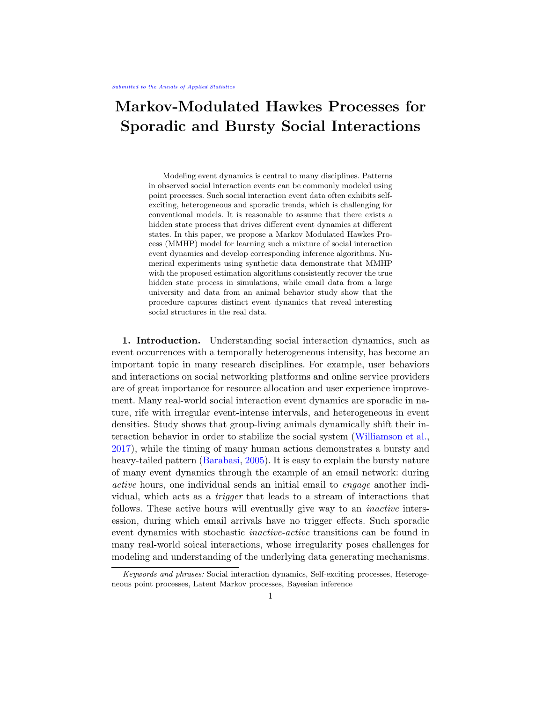(3.7) 
$$
E_{f_{Z}}[exp(-\frac{Z_{T}}{0Z_{T}}(Z(u);u)du)]
$$
  
\n
$$
exp(-E_{f_{Z}}[\frac{Z_{T}}{0Z_{T}}(Z(u);u)du])
$$
  
\n
$$
= exp(-\frac{f_{Z}}{1-\frac{Z_{T}}{1-\frac{Z_{T}}{1-\frac{Z_{T}}{1-\frac{Z_{T}}{1-\frac{Z_{T}}{1-\frac{Z_{T}}{1-\frac{Z_{T}}{1-\frac{Z_{T}}{1-\frac{Z_{T}}{1-\frac{Z_{T}}{1-\frac{Z_{T}}{1-\frac{Z_{T}}{1-\frac{Z_{T}}{1-\frac{Z_{T}}{1-\frac{Z_{T}}{1-\frac{Z_{T}}{1-\frac{Z_{T}}{1-\frac{Z_{T}}{1-\frac{Z_{T}}{1-\frac{Z_{T}}{1-\frac{Z_{T}}{1-\frac{Z_{T}}{1-\frac{Z_{T}}{1-\frac{Z_{T}}{1-\frac{Z_{T}}{1-\frac{Z_{T}}{1-\frac{Z_{T}}{1-\frac{Z_{T}}{1-\frac{Z_{T}}{1-\frac{Z_{T}}{1-\frac{Z_{T}}{1-\frac{Z_{T}}{1-\frac{Z_{T}}{1-\frac{Z_{T}}{1-\frac{Z_{T}}{1-\frac{Z_{T}}{1-\frac{Z_{T}}{1-\frac{Z_{T}}{1-\frac{Z_{T}}{1-\frac{Z_{T}}{1-\frac{Z_{T}}{1-\frac{Z_{T}}{1-\frac{Z_{T}}{1-\frac{Z_{T}}{1-\frac{Z_{T}}{1-\frac{Z_{T}}{1-\frac{Z_{T}}{1-\frac{Z_{T}}{1-\frac{Z_{T}}{1-\frac{Z_{T}}{1-\frac{Z_{T}}{1-\frac{Z_{T}}{1-\frac{Z_{T}}{1-\frac{Z_{T}}{1-\frac{Z_{T}}{1-\frac{Z_{T}}{1-\frac{Z_{T}}{1-\frac{Z_{T}}{1-\frac{Z_{T}}{1-\frac{Z_{T}}{1-\frac{Z_{T}}{1-\frac{Z_{T}}{1-\frac{Z_{T}}{1-\frac{Z_{T}}{1-\frac{Z_{T}}{1-\frac{Z_{T}}{1-\frac{Z_{T}}{1-\frac{Z_{T}}{1-\frac{Z_{T}}{1-\frac{Z_{T}}{1-\frac{Z_{T}}{1-\frac{Z_{T}}{1-\frac{Z_{T}}{1-\frac
$$

Following Theorem 6 of Cohn et al. (2009), (3.6) can be approximated by the integral (3.7) evaluated at the f<sub>z</sub> that minimizes the Kullback-Leibler divergence (Kullback and Leibler, 1951) from the process of interest given  $Z(T)$ . f<sub>z</sub> satis es the condition that,

$$
I_{z}(u) = \frac{P_{z_{m-1};z}(u - t_{m-1})P_{z;z_{m}}(t_{m}-u)}{P_{z_{m-1};z_{m}}(-t_{m})}; \text{ for } u \geq [t_{m-1};t_{m})
$$

Given the formulation of  $z(u)$ , we are able to calculate the integration in the (3.7)

(3.8) 
$$
\sum_{\substack{t_m = 1 \\ t_{m-1} = x}}^{\text{max}} \frac{z}{z} t_m \frac{z}{(z; u) \exp(Q(u - t_{m-1}))_{z_{m-1}; z} \exp(Q(t_m - u))_{z; z_m}}{ \exp(Q - t_m)_{z_{m-1}; z_m}} du:
$$

 $\overline{z}$ 

Thus, we can calculate the summand in (3.2) by combining (3.3), (3.4),  $(3.5)$   $(3.7)$  and  $(3.8)$ . This variatignal approximation allows marginalizing the likelihood over  $Z(T)$  2  $\mathsf{S}_{Z(T)}$  to be computationally tractable. Given this intermediate approximated result, which will be denoted as

$$
P (H(T); Z(T)) := \frac{X}{Z(T)2S_{Z(T)}} P(H(T); Z(T)) ;
$$

we will then marginalize over  $Z(t)$ . This can be carried out in linear time by using the forward component of the forward-backward algorithm (Rabiner, 1989), which is described in Appendix A.3.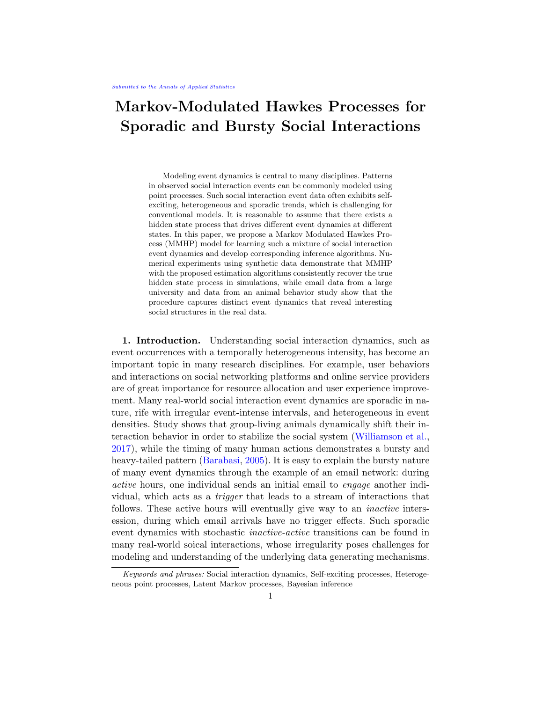Bayesian inference of MMHP using MCMC. We impose weakly informative priors for the model parameters:  $_0$  U(0; 1), N(0; 5),  $log N(0; 0.5)$ , 1  $log N(0; 1)$ ,  $0 < 1$ ,  $q_0$ ;  $q_1$   $log N(1; 1)$ . 1 is baseline intensity for the Hawkes process, which is greater than the rate in state  $0, 0, 0$ , in order to address model identi ability issue. As part of the MCMC sampler, we incorporate the above likelihood approximation algorithm and forward algorithm as in Appendix A.3 to obtain posterior draws of the parameters. See Algorithm 1 in Appendix A.1 for more details. Computation was carried out in Stan (Guo et al., 2014).

3.3. Inference of the latent process. Given a posterior draw  $\hat{ }$ , we may infer the most likely sequence of hidden states $z_1$ <sup>M</sup>, corresponding to the observed eventsz $\Lambda_M$ . We apply the Viterbi algorithm (Forney, 1973), which maximizes the conditional probability:  $P(Z_{1:M} = \gamma_{1:M} j$ ; t<sub>1:M</sub>), as shown in Algorithm 2 in Appendix A.2. Then, the full latent trajectory  $Z(T)$  given  $^{\wedge}$  and  $^{\wedge}$ z<sub>1:M</sub> is interpolated by maximizing the likelihood of there being no event between two observed events, given the estimated states at these two events' times and the parameter estimate, i.e.,  $P(Z(t))Z_m = \sum_{m=1}^{\infty} Z_{m+1} =$  $z^{(n+1)}$ ;  $\lambda$ ; t<sub>1:m+1</sub>); t 2 [t<sub>m</sub>; t<sub>m+1</sub>). Based on the posterior latent trajectories corresponding to a sample of the posterior draws of,  $Z(T)$  can be estimated by their majority vote at each t.

#### 4. Experiments.

4.1. Experiments on synthetic data. To evaluate the validity of our proposed algorithms for estimating MMHP, we simulate event arrival times from a generative MMHP model and explore parameter recovery. The simulation of point processes is based on th**th**inning algorithm (Ogata, 1981), a common approach for simulating inhomogeneous Poisson processes.

Estimation of model parameters. Given one xed set of parameters, we simulate  $S = 100$  independent sets of synthetic MMHP processes, each with an independent latent Markov process, and let them run to  $M = 50$  events.

Model estimation was carried out using Algorithm 1 with MCMC sampling. We run four parallel chains with random initial values and 1000 iterations per chain, using the rst half of each chain for burn-in. For each parameter we obtain  $\hat{\mathsf{R}}_{\text{max}}$  < 1:1 (Gelman et al., 2013). Since the posterior distributions are highly skewed, we calculated simulation-e cient Shortest Probability Intervals (SPIn) (Liu et al., 2015) for the parameter estimates. For our 95% posterior probability interval using SPIn, the coverage rates of true values are all above 95%.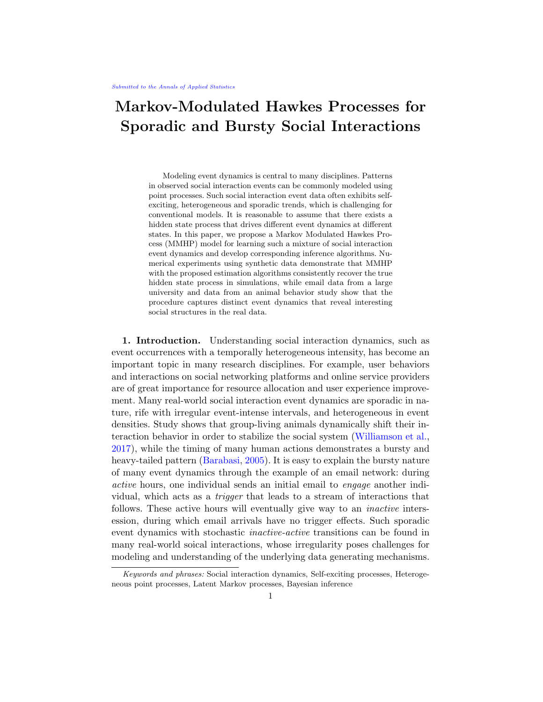We further examined the sampling distribution of the posterior means from the  $S = 100$  independent simulated data sets. Figure 4 displays 100 estimated posterior distributions for each model parameters in grey lines. The purple points and horizontal bars are the average of these posterior mean estimates and their shortest 95% probability interval. The blue lines represent prior distributions and red vertical lines indicate the ground truth. It shows that the sampling distribution of our estimates is centered at the true value with reasonable precision.

Fig 4: Estimation of the parameters for simulated MMHPs. Red lines: ground truth; grey lines: posterior distributions; purple segments: 95% Shortest Probability Intervals (SPIn) (Liu et al., 2015) based on the sampling distribution; blue lines: prior distributions.

Estimation of the latent Markov process. Using synthetic data, we evaluate how well our proposed algorithm recovers the latent state process. We rst simulate one xed instance of the latent Markov processZ (T), and then generate  $S = 100$  sets of event arrival times given this xed  $Z(T)$ . Numerical experiments are conducted under dierent lengths of the latent Markov process, where the average numbers of events  $dx = 50$ , 100, 200 and 500.

Following the inference procedure described in section 3.3, we show the estimates of the latent Markov process in Figure 5-(a), where the thick black line is the ground truth of the latent process, the grey lines are the majority vote estimates for each synthetic processes among  $= 100$  processes, and the thick blue line and the blue shades are the average latent trajectory of  $S = 100$  estimates and its one-standard-deviation con dence bands. The estimated trajectories re
ect the hidden true state processZ (T), even at  $M = 50$ . As the number of events increases, our estimation of the latent process becomes more accurate.

Figure 5-(b) provides a comparison between the true intensity function for one simulated 50-event process and the estimated intensity function that given the posterior draws of the model parameters and the latent process. The accuracy of the estimated intensity serves as another validation of our estimation of the model parameters and the latent state process.

For comparison, we include in Figure 5-(c) the inferred trajectories on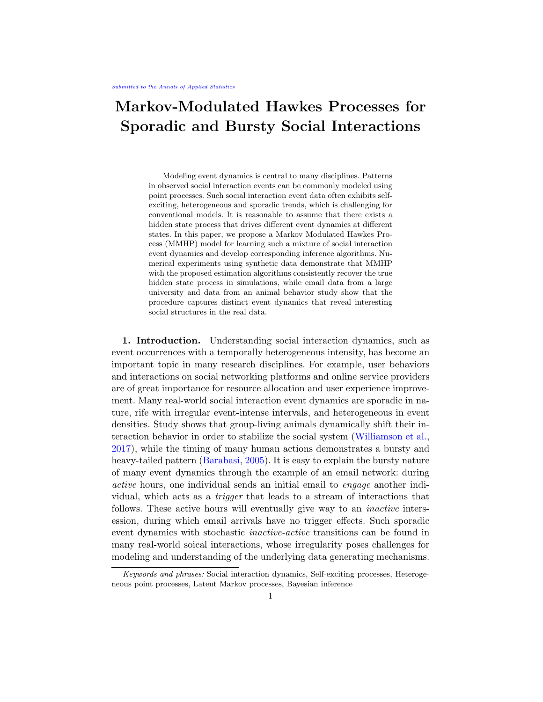the same simulated data sets using MMPP, which suers from biases and high variability. The inference of the latent process deviates more from the ground truth when events are more bursty in the state 1. This is because MMPP assumes a constant intensity in each state and is not 
exible enough to capture the highly heterogeneous event time data that is generated by the MMHP model. As a result, MMPP systematically underestimates the intensity in the state 1 and overestimates the intensity in the state 0. This causes the estimated mean latent process to regress towards 0.5, with the most sizable deviation taking place during the transition period.

Fig 5: Estimation of the latent Markov process (a) Estimated latent trajectory using the proposed algorithm.(b) Event intensity for one synthetic process.(c) Estimated latent trajectory using MMPP. (d) Estimated latent trajectory using MMHPSD.

We also evaluated the performance of MMHPSD (Wang et al., 2012), with results shown in Figure 5-(d). MMHPSD suggests transitions between states that are much more frequent than the ground truth. To quantify this dierence between our MMHP model and MMHPSD<sub>p</sub> we calculate thentegrated ence between our minime model and minime supposed all  $R_{\text{t}}^{\text{t}}$  $\int_{0}^{T}$  jZ(t)  $\vec{Z}(t)$ jdt, as shown in Figure  $6-(a)$ . Figure  $6-(b)$  shows the comparison between MMHP and MMHPSD, from which we can see that the overly sensitive state-transition of MMHPSD leads to a larger integrated absolute error.

4.2. Application to email interactions. We can now t our proposed model to the directed email pair presented in Figure 1, consisting of emails from one user to another in a large university over one academic semester.

14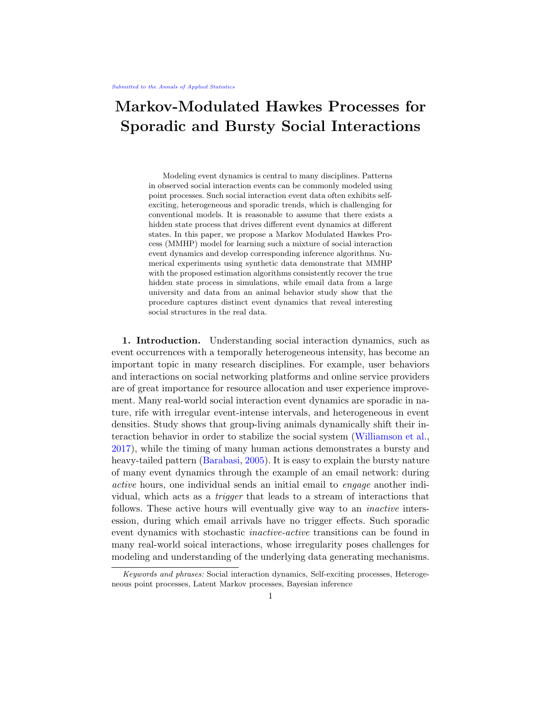Fig 6: Comparison of integrated absolute error between MMHP and MMH- $PSD<sub>R</sub>(a)$  An illustration of the integrated absolute error of a latent process, i.e.,  $R_{\tau}^{\text{R}}$  $\int_0^{\tau}$  jZ(t)  $\vec{Z}(t)$  jdt. Here, the black line indicates the true trajectory, the red and blue lines represents the estimated latent process by MMHP and MMHPSD correspondingly, and the red and blue shaded areas correspond to the absolute error of the inferred states using these two methods(b) Comparison of the integrated absolute error between MMHP and MMH-PSD under di erent simulation scenarios.

In total, several million emails between more than 40k members of the university were collected. Here we consider the single directed pair shown in Figure 1, which consists of 78 emails over one academic semester of 122 days.

We apply the proposed MMHP model to this email interaction data, using Gamma(1; 1) priors for both and , with the other priors being the same as those used in Sec 4.3. Figure 7-(a) plots the inferred latent states with observed event times and the estimated state trajectory with the onestandard-error band. MMHP separates bursts of many emails over a period of only a few days from less frequent periods, consisting of at most one or two emails per day. This seems well suited to describing behaviour between individuals in this setting, with several periods of frequent contact throughout the semester interspersed between regular but less frequent communication.

A common approach to test the goodness-of-t of point process models is the time rescaling theorem (Brown et al., 2002). As it states, thecomis the time rescaling to<br>pensatorsf  $m := \frac{t_{m+1}}{t_m}$  $\mathbf{t}_{\mathsf{tm}}^{\mathsf{tm}_{+1}}$  (u)dug $_{\mathsf{m=0}}^{\mathsf{M}-1}$ , are expected to be independently distributed following an exponential distribution with rate 1. The MMHP compensators closely follow the exponential distribution with rate 1, as shown in the QQ plot in Figure 7-(b) and Kolmogorov-Smirnov plot in Figure 7- (c). Compared to a homogeneous Poisson process, MMPP, MMHPSD and Hawkes process models, the MMHP model gives the best t in terms of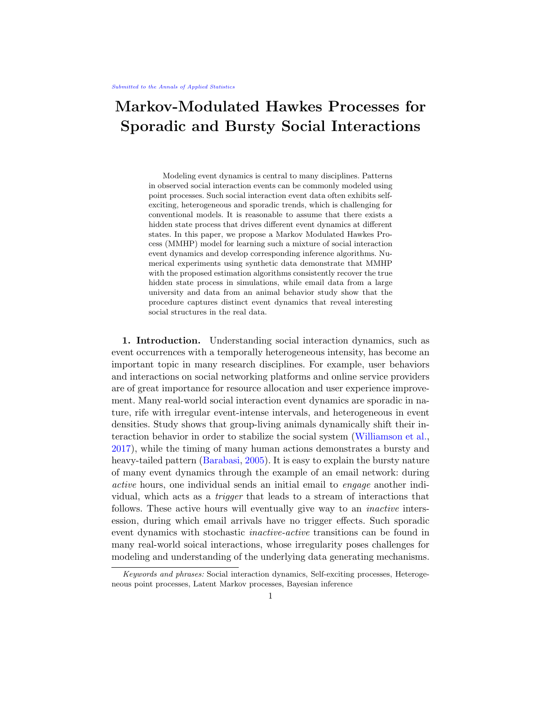Fig 7: Modeling email interaction data. (a) Estimated latent process for one directed pair of emails from Figure 1, where the crosses are estimated states at observed event times; blue line is inferredZ (T) based on the majority vote given posterior draws of latent trajectory; the shaded blue area is the one-standard-error band, constrained to be between 0 and 1. KDE estimate overlaid with red line. (b) and (c) show the QQ plot and KS plot for point process compensators of this directed pair.

KS statistic. Further comparison with existing models is given in Supplement S<sub>1.2</sub>.

4.3. Experiments with social interaction data among mice. In Williamson et al. (2016), twelve male mice were placed in a large vivarium at the age of nine weeks. These mice ght each other to establish a social hierarchy. For twenty-one consecutive days, observations were taken during the dark phase of the light cycle when mice are most active. During each observation interval, trained observers recorded the location, time stamp and action of pair-wise mice interactions. For each interaction, the actor (i.e., winner) and recipient (i.e., loser) were recorded. The goal of this study was to understand

16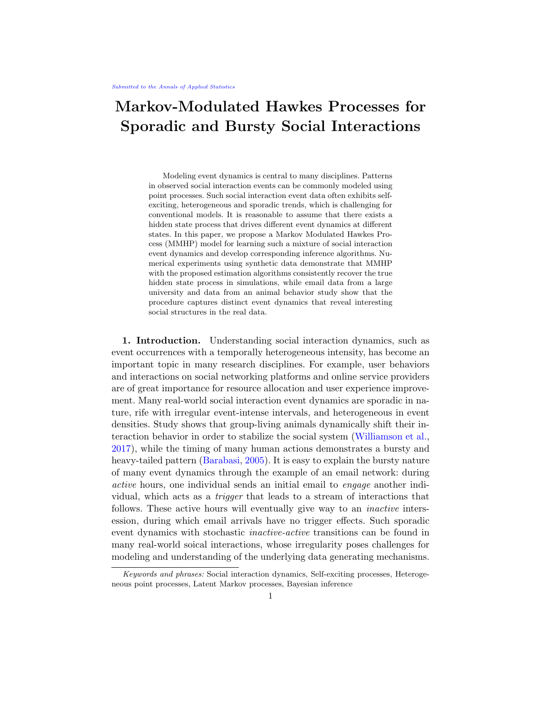how mice collectively establish and navigate their social hierarchy over time and to identify inconsistent deviations from a linear order.

Based on our study of the dataset, we conjecture that the social interaction dynamics of mice exhibit two states:active and inactive, which can be detected using the proposed MMHP model. After we separate all the interactions into two states, we expect the active state interactions to follow a linear hierarchy more closely than with all interactions combined, which suggests an explanation on how social dominance is established among a group of mice. Using multiple measurements oflinearity for an animal social hierarchy, we show that it is indeed the case. In addition, the inactive state interactions o er insights on social structures among the mice that deviate from the dominance hierarchy. A cluster analysis of the inactive state interactions shows that, as time progresses, the extent of between-cluster interactions decreases, which suggests the social structure may be stabilizing.

From this dataset, we considered the relational event dynamics on a xed set of actors  $V = f 1; 2; ...; N = 12g$ . The data consist of all historic events up to a termination time T: H(T) =  $f(i_m;j_m;t_m)g_{m=1}^{\mathsf{M}}$  . For each directed pair of actors (i ! j), the sequence of interaction event times is denoted by  $H^{(i-1)}(T) = f t_m^{(i-1)} g_{m=0}^{M^{(i-1)}(T)}$ , where  $t_0^{(i-1)} = 0$ , and M $^{(i-1)}$  is the number of interaction events initiated by i and received by j . For the purpose of this paper, we treat each observation window separately and independently. This allows us to disregard non-observation time.

Assume that, for each directed pair  $($  !  $)$  j ), the dyadic events H $^{(i)}$  J)(T) follow the MMHP model. The parameters of each process share the same prior distribution and vary across pairs. To improve the estimation of the state trajectories, we assume that

$$
\begin{array}{ll} (i! \ \, i) \quad & \mathsf{N}^+ \, (\, \frac{1}{\mathsf{t}^{(i! \ \, j)}_{\mathsf{max}}}; 0:1); \\ \end{array}
$$

where  $t^{(i)}_{\text{max}}$  is the maximum over all interevent times for (i! j). We assume that the latent state transitions should be less frequent than the ght frequencies, and set<sub>0</sub> = w<sub>0</sub>  $_0$ ;  $q_1 = w_1$ , where w<sub>0</sub> Beta(0:5; 0:5); w<sub>1</sub> Beta(0:5; 0:5). The other parameters share the following priors:

$$
log N( ; )
$$
;  $log N( ; )$ :

These log-Normal priors allow for the longer tails present considering all interactions within a cohort, compared to the single email interaction pair.

The ghts between one pair of these mice are shown in Figure 8. The mice are observed each day, with some observation periods longer than others. In several of these observation periods no ghts occur. The continuous time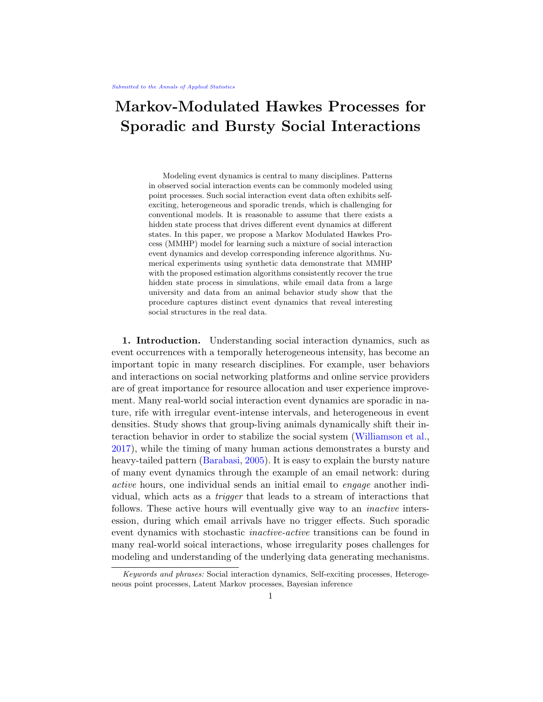Fig 8: Interactions between two mice over several weeks. Here the red lines indicate observation windows (and corresponding days) with interactions while grey lines indicate time periods where no interactions were observed. Although we only observe interactions in some of the time windows, we are still able to estimate the latent process in the windows with observed events. This also illustrates the latent state changing within a single time window.

MMHP model is 
exible in that it allows the latent state to change during longer observation periods, as seen on day 8 in Figure 8. The latent state is not constrained to remained xed within a given observation window.

The active/inactive state separation by MMHP can also help us understand the inconsistency between mice interaction behaviors and their hierarchy ranks. Given a set of ghts among a group of mice, one can calculate the win/loss matrix, which is a frequency sociomatrix of wins and losses (So et al., 2015). The  $(i, j)$ -th entry in the win/loss matrix represents the number of times i won against j. For one cohort, Figure 9 plots the win/loss matrices for all ghts and by the active/inactive state. There were 929 ghts in total in this cohort, of which 805 were classied as belonging to the active state. The order of rows and columns corresponds to the ranks of mice using the I &SI method (Vries, 1998). If the interactions strictly follow the social hierarchy, we expect to see all the interactions in the upper triangle with a few exceptions that are close to the diagonal. This is not the case in the overall panel (Figure  $9-(a)$ ). The upper triangular structure in Figure 9-(b) suggests that our identi ed active state of bursty and intensive ghts agrees with hierarchical rank. The inactive state interactions are deviations from the hierarchy. This suggests that these interactions might be motivated by the mice's need to explore the social hierarchy without intensive engagements.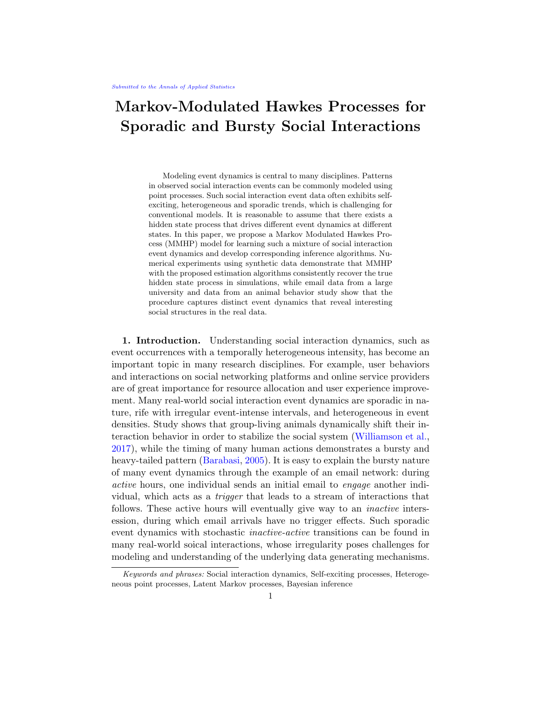|  | (a) All ghts | (b) Active state | (c) Inactive state |
|--|--------------|------------------|--------------------|
|--|--------------|------------------|--------------------|

Fig 9: Plots of mice win/loss matrices for all ghts and by states (sorted by I &SI method (Vries, 1998)).

| Measurement                | All ghts | Active state | Inactive state |
|----------------------------|----------|--------------|----------------|
| Directional Consistency    | 0.96     | 0.99         | 0.85           |
| Triangle transitivity      | 1.00     | 1.00         | 0.80           |
| Inconsistencies in ranking |          |              |                |

Table 1

Measures of social hierarchy linearity in the same cohort

To better quantify how closely a set of interactions follow a linear hierarchy, we calculate the following three measures of social hierarchy linearity for the win/loss matrix as in Figure 9: Directional consistency (Leiva et al., 2008), Triangle transitivity (McDonald and Shizuka, 2012) andInconsistency in the ranking (Vries, 1998). Given a win/loss matrix W, directional<br>max(Wii Wii) min(Wii Wii) consistency is de ned as  $\overline{\phantom{a}}_{i< j}$  $\frac{\max(W_{ij};W_{ij}) - \min(W_{ij};W_{ij})}{W_{ij} + W_{ij}}$ , which is the dif- $\overline{W_{ij} + W_{ij}}$ ference in the proportions of ghts won by the more dominant individuals and that by the more subordinate individuals. For three individuals (i; j; k), triangle transitivity measures the proportion of triad relations satisfying transitivity, i.e.  $\,$  1 $_{\rm f\,\left|{\rm i}\right|{\rm j}\right|>\rm k}$  is and the set is presentsi dominates j and 1 $_{\rm f\,g}$ is the indicator function. For  $W$ , which is W with its rows and columns reordered according to a ranking, inconsistency in the ranking equals to  $_{i>j}$  1<sub>f W<sub>ii > W<sub>ii g</sub>. A perfect linear hierarchy ranking would give zero incon-</sub></sub> sistency. Table 1 shows the results of the above measures corresponding to the win/loss matrix shown in Figure 9.

Figure 10-(a) shows the boxplots of these three measurements for ten cohorts, which are calculated using all, active, and inactive interactions. All three measurements suggest a stronger linear hierarchy among the activestate interactions comparing to all interactions combined.

Williamson et al. (2016) found that day 5 and day 10 were the start and end of social hierarchy stabilization. Figure 10-(b) summarized this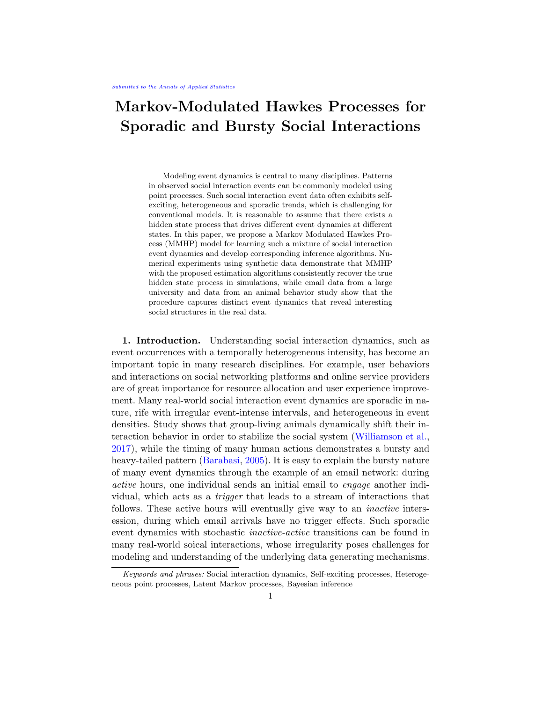(a) State separation measurements (b) Inactive state cluster trend

Fig 10: Summary of state separation result in 10 cohorts.

trend for all cohorts: each line in the plot indicates a cohort's evolving ratio of between-cluster interactions and within-cluster interactions. The thicker line segments represent the ratio values calculated for each day by using interactions within a sliding one-hour time window. Due to the fact that the study has di erent observation times within a day across cohorts, we align all the cohorts by interpolating the calculated segments (thick lines) with a thin line. We see that all cohorts show stable clustering after the 10th day.

5. Discussion and conclusion. Although dynamic social interactions have been widely studied recently, existing models cannot adequately capture the patterns of event dynamics in social interaction data { sporadic with bursts and long wait time. In this paper, we proposed a Markov Modulated Hawkes Process (MMHP) model and its inference algorithms, which segments di erent dynamic patterns in event arrival times data. Results from numerical experiments provide validating evidence on the advantages of the proposed method over comparable existing methods, in both simulated studies and a real application to both animal behavior data and email data.

In this paper, the MMHP model and its inference framework are built under the assumption that the latent Markov process has two states for better model interpretability. It can readily be extended to a R-state latent Markov process by modifying the computation of the forward-backward algorithm, as we have included in Appendix B. However, it is challenging to make this framework computationally practical for  $R > 2$ . This also raises identiability concerns between the underlying latent process and the Hawkes processes. Veen and Schoenberg (2008) pointed out that the log likelihood function of Hawkes processes may be multi-modal and locally 
at. This be-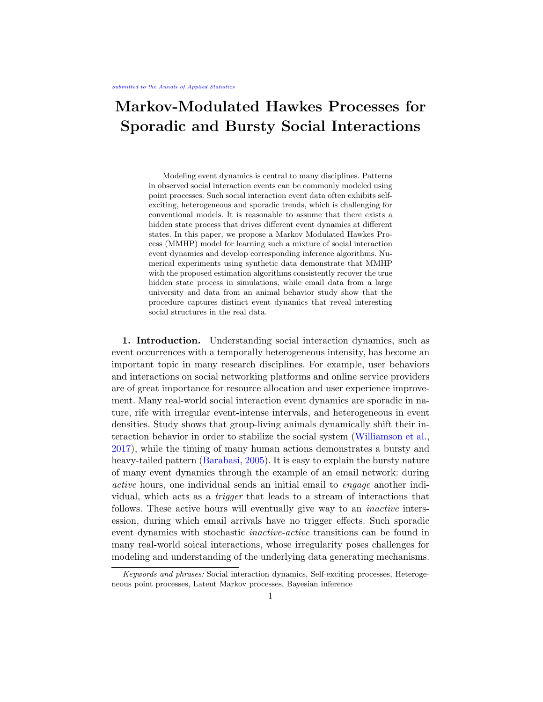comes more notable when we considerR generally parametrized Hawkes processes, modularized by a Markov process. One potential avenue is to utilise other inference schemes, such as Markov Jump processes Rao and Teh (2013). Initial simulation studies (not shown here) indicate this is a promising direction, however this procedure struggles to infer a stable latent process in our model for  $R = 2$ . Further work is therefore required to investigate this inference procedure in this setting before considering the generalR-state problem.

MMHP uses the classic exponential kernel in Hawkes processes, where represents the in
uence of historical events on the intensity and represents the decay rate of such in
uence. A potential extension of the proposed model could be introducing covariates into and . Subsequent inference can be easily conducted under our framework. Although our current work emphasizes more on the model interpretation due to the motivation from the social interaction data, our model can also make predictions on the expected number of future events with measures of uncertainty.

In this paper, we focused on modeling the sporadic dynamic of one sequence of event history that can be assumed as one non-stationary point process. In practice, some event streams might be driven by multiple dynamic processes. One such example is Du et al. (2015), who tted a nonparametric Dirichlet mixture of Hawkes processes to a large collection of document streams and clustered these news articles into separate streams, with each stream represented by a Hawkes process. A similar mixture of Hawkes processes is considered by Xu and Zha (2017). This mixture of Hawkes process is able to capture the self excitatory patterns seen in mixtures of document streams, but is not able to capture the long wait times observed in social interaction data that we consider here. Adding an inactive state with sporadic event arrivals to such mixture models via Markov modulation is a future direction worth exploring.

Furthermore, we assumed independence structure when applying the model to a network of animals. However, more research can be carried out in terms of introducing a dependence structure among dierent animal pairs in a network. Such a network-structured MMHP will lead to improvements in model estimates and interpretability. On the other hand, combined with network models, MMHP provides a way of inferring network structure based on continuous-time event data.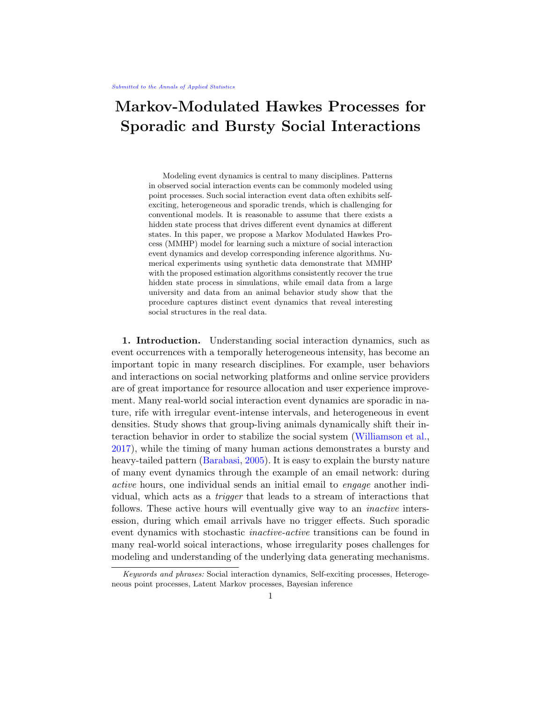#### References.

- Barabasi, A.-L. (2005). The origin of bursts and heavy tails in human dynamics. Nature, 435(7039):207{211.
- Blei, D. M., Kucukelbir, A., and McAulie, J. D. (2017). Variational inference: A review for statisticians. Journal of the American Statistical Association , 112(518):859{877.
- Blei, D. M. and Laerty, J. D. (2006). Dynamic topic models. In Proceedings of the 23rd international conference on Machine learning , pages 113{120. ACM.
- Brown, E. N., Barbieri, R., Ventura, V., Kass, R. E., and Frank, L. M. (2002). The time-rescaling theorem and its application to neural spike train data analysis. Neural computation, 14(2):325{346.
- Cohn, I., El-Hay, T., Friedman, N., and Kupferman, R. (2009). Mean eld variational approximation for continuous-time bayesian networks. In Proceedings of the Twenty-Fifth Conference on Uncertainty in Arti cial Intelligence , pages 91{100. AUAI Press.
- Dempster, A. P., Laird, N. M., and Rubin, D. B. (1977). Maximum likelihood from incomplete data via the em algorithm. Journal of the royal statistical society. Series B (methodological), pages 1{38.
- Du, N., Farajtabar, M., Ahmed, A., Smola, A. J., and Song, L. (2015). Dirichlet-hawkes processes with applications to clustering continuous-time document streams. In Proceedings of the 21th ACM SIGKDD International Conference on Knowledge Discovery and Data Mining , pages 219{228.
- Fischer, W. and Meier-Hellstern, K. (1993). The Markov-modulated Poisson process (MMPP) cookbook. Performance evaluation, 18(2):149{171.
- Forney, G. D. (1973). The viterbi algorithm. Proceedings of the IEEE, 61(3):268{278.
- Gelman, A., Stern, H. S., Carlin, J. B., Dunson, D. B., Vehtari, A., and Rubin, D. B. (2013). Bayesian data analysis. Chapman and Hall/CRC.
- Guo, J., Betancourt, M., Brubaker, M., Carpenter, B., Goodrich, B., Homan, M., Lee, D., Malecki, M., and Gelman, A. (2014). RStan: The R interface to Stan.
- Hawkes, A. G. (1971). Spectra of some self-exciting and mutually exciting point processes. Biometrika , pages 83{90.
- Hawkes, A. G. (2018). Hawkes processes and their applications to nance: a review. Quantitative Finance , 18(2):193{198.
- Kossinets, G. and Watts, D. J. (2006). Empirical analysis of an evolving social network. science, 311(5757):88{90.
- Kullback, S. and Leibler, R. A. (1951). On information and suciency. The annals of mathematical statistics, 22(1):79{86.
- Leiva, D., Solanas, A., and Salafranca, L. (2008). Testing reciprocity in social interactions: A comparison between the directional consistency and skew-symmetry statistics. Behavior Research Methods 40(2):626{634.
- Linderman, S. and Adams, R. (2014). Discovering latent network structure in point process data. In International Conference on Machine Learning , pages 1413{1421.
- Liu, Y., Gelman, A., and Zheng, T. (2015). Simulation-ecient shortest probability intervals. Statistics and Computing, 25(4):809{819.
- McDonald, D. B. and Shizuka, D. (2012). Comparative transitive and temporal orderliness in dominance networks. Behavioral Ecology, 24(2):511{520.
- Ogata, Y. (1981). On Lewis' simulation method for point processes. IEEE Transactions on Information Theory , 27(1):23{31.
- Perry, P. O. and Wolfe, P. J. (2013). Point process modelling for directed interaction networks. Journal of the Royal Statistical Society: Series B (Statistical Methodology) , 75(5):821{849.

## 22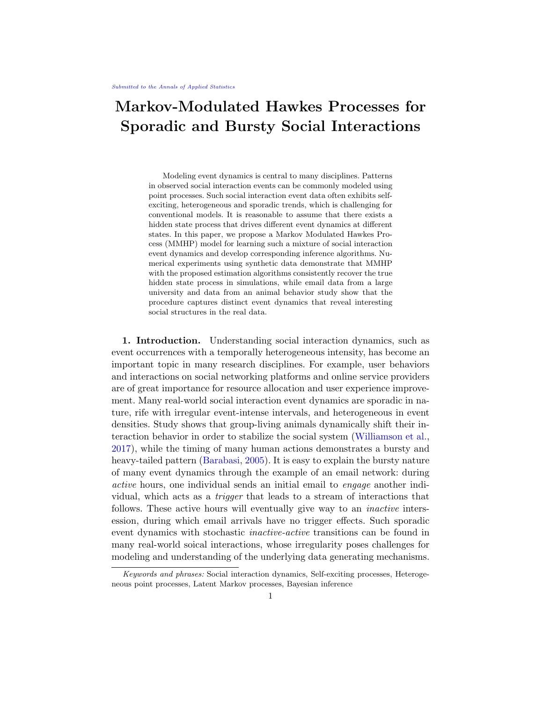- Rabiner, L. R. (1989). A tutorial on hidden Markov models and selected applications in speech recognition. Proceedings of the IEEE, 77(2):257–286.
- Rao, V. and Teh, Y. W. (2013). Fast mcmc sampling for markov jump processes and extensions. J. Mach. Learn. Res., 14(1):3295–3320.
- Scott, S. L. and Smyth, P. (2003). The markov modulated poisson process and markov poisson cascade with applications to web traffic data. Bayesian statistics, 7:671–680.
- Simma, A. and Jordan, M. I. (2010). Modeling events with cascades of poisson processes. In Proceedings of the Twenty-Sixth Conference on Uncertainty in Artificial Intelligence, pages 546–555.
- So, N., Franks, B., Lim, S., and Curley, J. P. (2015). A social network approach reveals associations between mouse social dominance and brain gene expression. PloS one, 10(7):e0134509.
- Veen, A. and Schoenberg, F. P. (2008). Estimation of space–time branching process models in seismology using an em–type algorithm. Journal of the American Statistical Association, 103(482):614–624.
- Vries, H. d. (1998). Finding a dominance order most consistent with a linear hierarchy: a new procedure and review. Animal Behaviour, 55(4):827–843.
- <span id="page-22-4"></span>Wang, T., Bebbington, M., and Harte, D. (2012). Markov-modulated Hawkes process with stepwise decay. Annals of the Institute of Statistical Mathematics, 64(3):521–544.
- <span id="page-22-3"></span>Wang, Y., Du, N., Trivedi, R., and Song, L. (2016). Coevolutionary latent feature processes for continuous-time user-item interactions. In Advances in Neural Information Processing Systems, pages 4547–4555.
- <span id="page-22-1"></span>Weiss, J., Natarajan, S., and Page, D. (2012). Multiplicative forests for continuous-time processes. In Advances in neural information processing systems, pages 458–466.
- Williamson, C. M., Lee, W., and Curley, J. P. (2016). Temporal dynamics of social hierarchy formation and maintenance in male mice. Animal Behaviour, 115:259-272.
- <span id="page-22-0"></span>Williamson, C. M., Romeo, R. D., and Curley, J. P. (2017). Dynamic changes in social dominance and mpoa gnrh expression in male mice following social opportunity. Hormones and Behavior, 87:80–88.
- Xu, H. and Zha, H. (2017). A dirichlet mixture model of hawkes processes for event sequence clustering. In Advances in Neural Information Processing Systems, pages 1354–1363.
- <span id="page-22-2"></span>Zhao, Q., Erdogdu, M. A., He, H. Y., Rajaraman, A., and Leskovec, J. (2015). Seismic: A self-exciting point process model for predicting tweet popularity. In Proceedings of the 21th ACM SIGKDD International Conference on Knowledge Discovery and Data Mining, pages 1513–1522. ACM.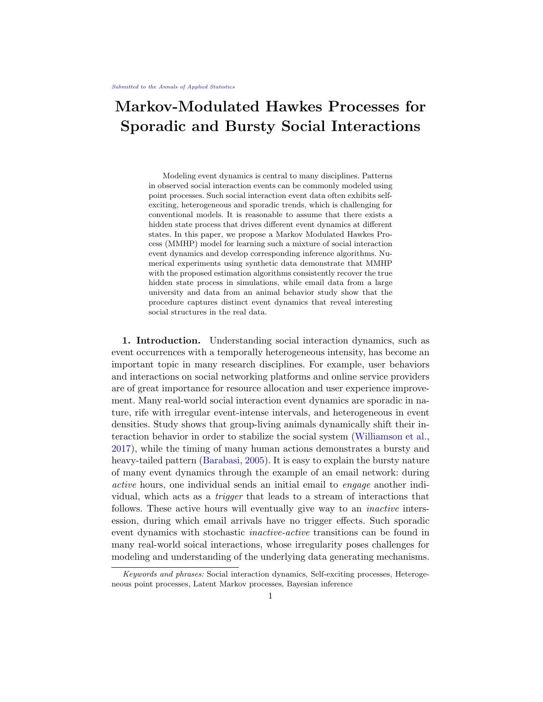#### APPENDIX A: ALGORITHMS

<span id="page-23-0"></span>A.1. Posterior Samples. Here we provide the algorithm use to draw samples from the posterior of the proposed MMHP model.

Algorithm 1 Posterior sampling of parameters for MMHP.

| Inputs:                                                                                                                                  |  |  |
|------------------------------------------------------------------------------------------------------------------------------------------|--|--|
| M(number of events), $\Delta t_{1:M}$ (interevent time)                                                                                  |  |  |
| Prior:                                                                                                                                   |  |  |
| $0 \quad U(0,1); \qquad N(0,5); \qquad \log N(0,0.5);$                                                                                   |  |  |
| $\log N(0, 1)$ ; $0 \leq 1$ ; $q_0$ ; $q_1 \log N(-1, 1)$ :<br>$1 \quad$                                                                 |  |  |
| Likelihood:                                                                                                                              |  |  |
| <b>Initialize:</b> <i>m</i> 0; $A_m[1]$ $(1 \text{ o})$ ; $A_m[2]$ 0.                                                                    |  |  |
| while $m < M$ do                                                                                                                         |  |  |
| $m$ $m+1$                                                                                                                                |  |  |
| $A_m[1]$ $A_{m-1}[1]$ $\overline{P}(Z_m=1/\Delta t_m)Z_{m-1}=1/\Delta t_{1:m-1})+$                                                       |  |  |
| $A_{m-1}[2]$ $\tilde{P}$ $(Z_m = 1/\Delta t_m/Z_{m-1} = 0/\Delta t_{1:m-1})$                                                             |  |  |
| $A_m[2]$ $A_{m-1}[1]$ $\tilde{P}(Z_m=0;\Delta t_m)Z_{m-1}=1;\Delta t_{1:m-1})+$                                                          |  |  |
| $P(\Delta t_{1:M}) = \begin{cases} A_{m-1}[2] & P(Z_m = 0/\Delta t_m)Z_{m-1} = 0/\Delta t_{1:m-1}) \\ A_{M}[1] + A_{M}[2] & \end{cases}$ |  |  |
|                                                                                                                                          |  |  |
| Posterior:                                                                                                                               |  |  |
| Use MCMC to sample from posterior distribution.                                                                                          |  |  |
| Outputs:                                                                                                                                 |  |  |
| Posterior draws of $\Theta$ .                                                                                                            |  |  |

A.2. The Viterbi algorithm. Algorithm [2](#page-24-0) describes the Viterbi algorithm discussed in the main text to infer the latent states of MMHP.

A.3. The forward backward algorithm. The forward-backward algorithm is a dynamic programming algorithm for computing the marginal likelihood of a sequence of observations from complete-data likelihood, by iteratively marginalizing out hidden state variables. As shown in Section 3.2, we obtained the approximated likelihood after marginalizing over  $Z(T)$  2  $S_{\vec{z}(T)}$ , i.e.  $\tilde{P}$  ( $H(T)$ ;  $\tilde{Z}(T)$ ). This is a function of  $\tilde{Z}(T) = fZ_0$ ;  $Z_1$ ; ::::;  $Z_M g$ , which are the states at event times. Utilizing the forward variable, we can then marginalize over  $\tilde{Z}(T)$  computationally efficiently. For convenience, we denote the event history up to  $m$ -th event  $H(t_m)$  through their interevent times  $\Delta t_{1:m} := f \Delta t_i := t_i - t_{i-1}; i = 1; \dots; mg$ . Hence the forward variable can be defined as  $A_m(z_m; \Delta t_{1:m}) := \tilde{P}(Z_m = z_m; \Delta t_{1:m})$ . It satisfies the initial condition that  $A_0(z_0) = P(Z_0 = z_0)$ . The forward iteration can be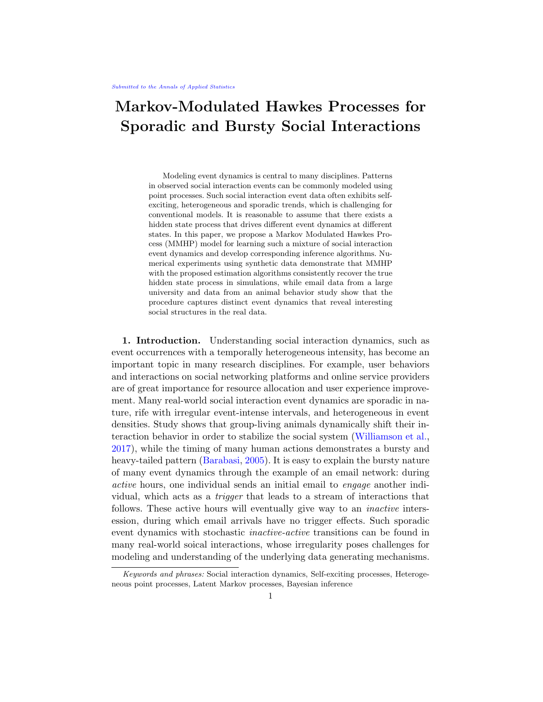<span id="page-24-0"></span>Algorithm 2 Viterbi algorithm for Markov Modulated Hawkes Process

Inputs:  $\Theta$ (Estimation of parameters),  $M$ (number of events),  $\Delta t_{1:M}$ (interevent time) Initialize:  $m \quad 0; \; v_m[1] \quad \log\left(1 \quad \hat{c}\right); \; v_m[0] \quad \log\left(\hat{c}\right)$ while  $m < M$  do  $m$   $m+1$  $v_m[1]$ k max  $v_{m-1}[k] + \log \tilde{P} \setminus (Z_m = 1; \Delta t_m / Z_{m-1} = k; \Delta t_{1:m-1})$  $V_m[0]$  $\max_{k} v_{m-1}[k] + \log \tilde{P}(\sqrt{Z_m} = 0, \Delta t_m / Z_{m-1} = k, \Delta t_{1:m-1})$  $b_m[1]$  arg max  $v_{m-1}[k] + \log \tilde{P}^{\wedge}(Z_m = 1; \Delta t_m | Z_{m-1} = k; \Delta t_{1:m-1})$  $b_m[0]$  arg max  $v_{m-1}[k] + \log \tilde{P}(\overline{Z_m} = 0; \Delta t_m/\overline{Z_{m-1}} = k; \Delta t_{1:m-1})$  $z_M$  arg max  $v_M[k]$ while  $m^{0\;\;k}\;\;$  M do  $Z_{\mathcal{M}}$   $m^0$   $b_{\mathcal{M}}$   $m^0+1[Z_{\mathcal{M}}$   $m^0+1]$ Outputs: Global optimal sequence of latent state  $(z_0; z_1; \ldots; z_M)$ 

derived as

$$
A_m(z_m; \Delta t_{1:m})
$$
  
=  $\tilde{P}$  (Z<sub>m</sub> = z<sub>m</sub>;  $\Delta t_{1:m}$ )  
=  $\tilde{P}$  (Z<sub>m</sub> 1 = z<sub>m</sub> 1;  $\Delta t_{1:m}$  1)  $\tilde{P}$  (Z<sub>m</sub> = z<sub>m</sub>;  $\Delta t_{1:m}/Z_{m}$  1 = z<sub>m</sub> 1;  $\Delta t_{1:m}$  1)  
=  $\frac{z_m}{2m}$ <sup>1</sup>  
=  $A_{m}$  1(z<sub>m</sub> 1;  $\Delta t_{1:m}$  1)  $\tilde{P}$  (Z<sub>m</sub> = z<sub>m</sub>;  $\Delta t_m/Z_{m}$  1 = z<sub>m</sub> 1;  $\Delta t_{1:m}$  1)

Given the last forward variable, we obtain the whole marginalized likelihood as  $\times$  $\times$ 

$$
\sum_{Z(T)} \tilde{P} (H(T); \tilde{Z}(T)) = \sum_{Z_M} A_M(z_M; \Delta t_{1:M})
$$

## APPENDIX B: GENERAL R STATE ALGORITHM

For completeness, we describe our MMHP procedure for general R states here. For this, we define CTMC with R states as  $Z(t)$ ;  $t \; 2 \; [0; T]_{\geq Z}(t) \; 2$  $f_1$ ; 2; ...; Rg. The initial probability vector is  $:= f_{1}$ ; ...; Rg, where  $\begin{bmatrix} R \\ r=1 \end{bmatrix}$   $r =$ 1. The infinitesimal generator matrix  $Q$  is a  $R$   $\lt$  K matrix defined as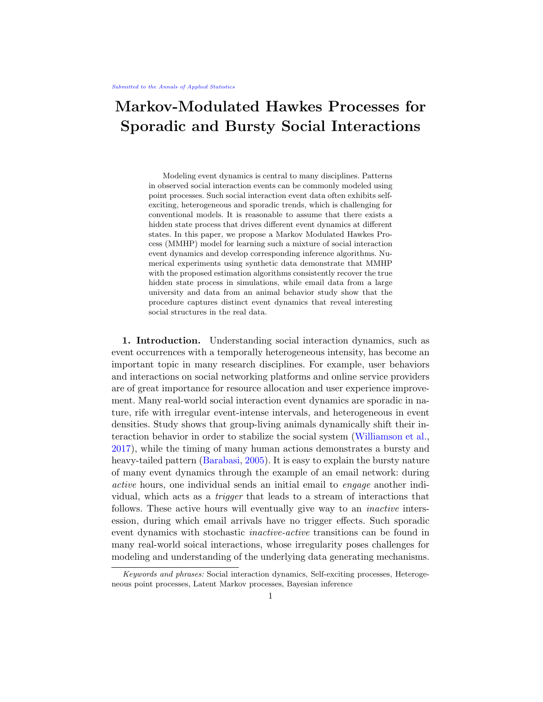

where  $q_{r,r} = \int_{0}^{r} j \epsilon r \, dr j$ .

For each  $t \in [0, 0]$ , there is a probability transition matrix, denoted as  $P(t) :=$  $[\mathbf{P}_{ij}(t)]_{ij2\text{ to },1g}$ . Each entry  $\mathbf{P}_{ij}(t)$  is defined as the probability that the chain will be in state j at time  $u + t$  ( $t > 0$ ) given the chain is in state i at time  $u$ , i.e. for each  $u \neq 0$ ,

$$
\mathbf{P}_{ij}(t) = P(Z(u + t) = j)Z(u) = i):
$$

Following Kolmogorov's forward equation, we know that  $P(t) = \exp(Qt)$ .

Given  $Z(t) = r$ , define the Hawkes intensity as  $r(t) = 0$ ;  $r + r \frac{1}{2} t_m < t e^{-r(t - t_m)}$ . To derive the forward algorithm:

$$
A_m(z_m; \Delta t_{1:m})
$$
  
=  $\tilde{P}$   $(Z_m = z_m; \Delta t_{1:m})$   
=  $\tilde{P}$   $(Z_m = z_m : \Delta t_{1:m} )\tilde{P}$   $(Z_m = z_m; \Delta t_{1:m}/Z_m | 1 = z_m | 1; \Delta t_{1:m} | 1)$   
=  $\tilde{Z}_{\tilde{X}}^{-1}$   
=  $A_{m-1}(z_{m-1}; \Delta t_{1:m-1})\tilde{P}$   $(Z_m = z_m; \Delta t_m/Z_{m-1} = z_{m-1}; \Delta t_{1:m-1})$   
 $z_{m-1}$ 

Here, to be precise,

$$
\tilde{P} (Z_m = z_m; \Delta t_m / Z_m \mathbf{1} = z_m \mathbf{1}; \Delta t_{1:m} \mathbf{1})
$$
\n
$$
= \mathbf{P}_{z_m \mathbf{1}; z_m} (\Delta t_m) \mathbf{1}_{z_m} (t_m / H(t_m)) \exp f \qquad (ujH(u)) \text{dug:}
$$

We give the full details of the algorithms required for the general R-state model in Algorithm [3](#page-26-0) and Algorithm [4.](#page-26-1)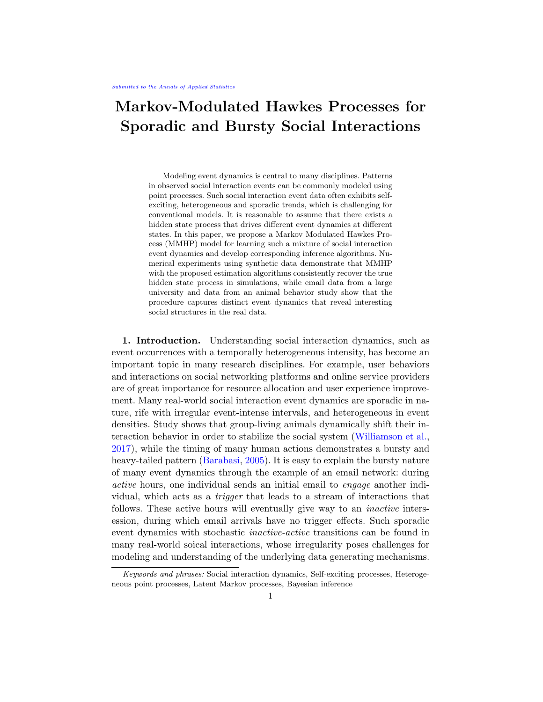<span id="page-26-0"></span>Algorithm 3 Posterior sampling of parameters for R-state MMHP.

Inputs: M(number of events),  $\Delta t_{1:M}$ (interevent time) Prior:  $0, U(0, 1); \qquad N(0, 5); \qquad \log N(0, 0.5);$  $\log N(0, 1); Q \log N(-1, 1):$ Likelihood: Initialize:  $m = 0; A_m[r] = r$ , for  $r \ge r1; \dots; Rg$ . while  $m < M$  do  $m$   $m+1$ for  $r=1,...,R$  do  $A_m[r]$  $\sum_{j=1}^{R} A_{m-1}[j]$   $\tilde{P} (Z_m = r; \Delta t_m | Z_{m-1} = j; \Delta t_{1:m-1})$  $P$  ( $\Delta t_{1:M}$ )  $\sum_{r=1}^{R} A_M[r]$ Posterior: Use MCMC to sample from posterior distribution. Outputs: Posterior draws of Θ.

<span id="page-26-1"></span>Algorithm 4 Viterbi algorithm for Markov Modulated Hawkes Process

Inputs:  $\hat{\Theta}$ (Estimation of parameters),  $M$ (number of events),  $\Delta t_1$ : $M$ (interevent time) Initialize: *m* 0;  $V_m[r]$   $\log(\hat{r})$ ;  $r = 1$ ; :::; R. while  $m < M$  do  $m$   $m+1$ for  $r=1,...,R$  do  $v_m[r]$  max<sub>j</sub>  $v_{m-1}[j] + \log \tilde{P}(\overline{Z_m} = r; \Delta t_m]\overline{Z_{m-1}} = j; \Delta t_{1:m-1})$  $b_m[r]$  arg max  $v_{m-1}[j] + \log \tilde{P}$ <sup>'</sup> ( $Z_m = r; \Delta t_m/Z_{m-1} = j; \Delta t_{1:m-1}$ ) j  $z_M$  arg max  $v_M[k]$ while  $m^{0}\stackrel{r}{\sim} M$  do  $Z_{\mathcal{M}}$   $m^{\circ}$   $\mathfrak{b}_{\mathcal{M}}$   $m^{\circ}+1[Z_{\mathcal{M}}$   $m^{\circ}+1]$ Outputs: Global optimal sequence of latent state  $(z_0, z_1, \ldots, z_M)$ 

# SUPPLEMENTARY MATERIAL

S1.1. Discussion of data binning. To further illustrate the difficulties of correctly binning continuous time data, we illustrate kernel density estimates with a range of bandwidths. As can be seen in Figure [S1,](#page-28-0) it is only when the bandwidth of the kernel density is sufficiently small that it begins to capture the sporadic and bursty nature of interaction times. This indicates that a continuous time model is needed to fully capture the dynamics in this data.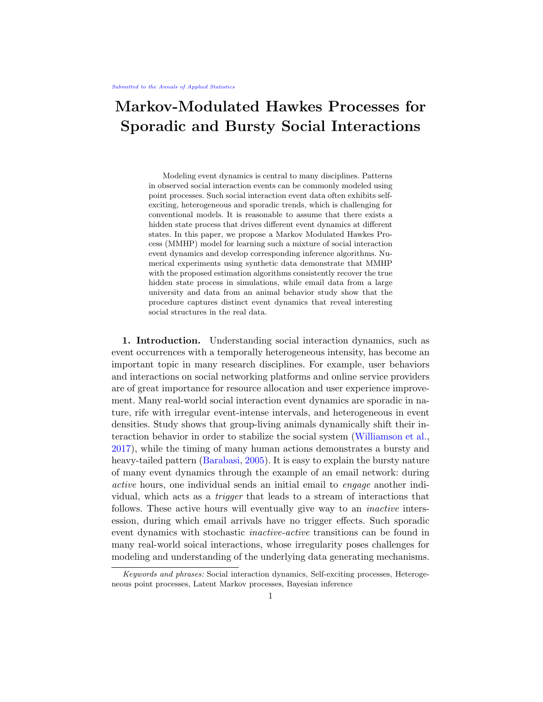S1.2. Further model comparison. Here we illustrate further how existing models fail to capture the latent dynamics present in the data we analysed.

We fit each of the other models from the literature to the email interaction data and illustrate lack of model fit using the methods described in Sec 4.2. Figures [S2,](#page-29-0)[S3](#page-29-1) and [S4](#page-29-2) so model evaluation tools for each of the alternative models considered in the paper. As shown by the compensator plots, each of these models are not able to capture the nature of this arrival data. Similarly, performing a Kolmogorov-Smirnov test on the rescaled inter-event times under each model indicates departures from independent identically distributed exponential random variables.